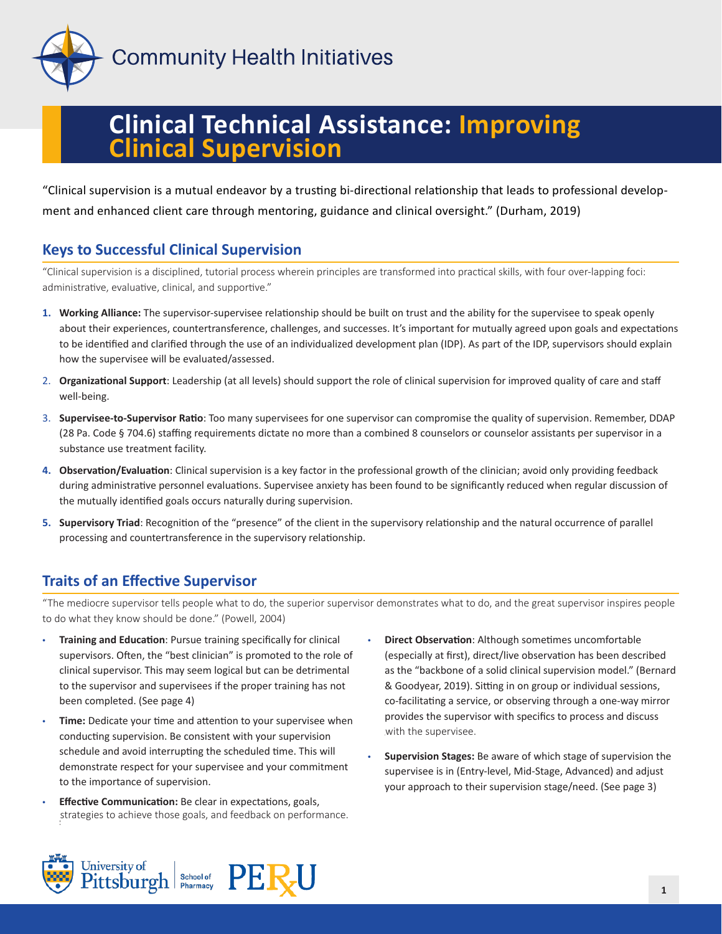

**Community Health Initiatives** 

# **Clinical Technical Assistance: Improving Clinical Supervision**

"Clinical supervision is a mutual endeavor by a trusting bi-directional relationship that leads to professional development and enhanced client care through mentoring, guidance and clinical oversight." (Durham, 2019)

## **Keys to Successful Clinical Supervision**

"Clinical supervision is a disciplined, tutorial process wherein principles are transformed into practical skills, with four over-lapping foci: administrative, evaluative, clinical, and supportive."

- **1. Working Alliance:** The supervisor-supervisee relationship should be built on trust and the ability for the supervisee to speak openly about their experiences, countertransference, challenges, and successes. It's important for mutually agreed upon goals and expectations to be identified and clarified through the use of an individualized development plan (IDP). As part of the IDP, supervisors should explain how the supervisee will be evaluated/assessed.
- 2. **Organizational Support**: Leadership (at all levels) should support the role of clinical supervision for improved quality of care and staff well-being.
- 3. **Supervisee-to-Supervisor Ratio**: Too many supervisees for one supervisor can compromise the quality of supervision. Remember, DDAP (28 Pa. Code § 704.6) staffing requirements dictate no more than a combined 8 counselors or counselor assistants per supervisor in a substance use treatment facility.
- **4. Observation/Evaluation**: Clinical supervision is a key factor in the professional growth of the clinician; avoid only providing feedback during administrative personnel evaluations. Supervisee anxiety has been found to be significantly reduced when regular discussion of the mutually identified goals occurs naturally during supervision.
- **5. Supervisory Triad**: Recognition of the "presence" of the client in the supervisory relationship and the natural occurrence of parallel processing and countertransference in the supervisory relationship.

## **Traits of an Effective Supervisor**

"The mediocre supervisor tells people what to do, the superior supervisor demonstrates what to do, and the great supervisor inspires people to do what they know should be done." (Powell, 2004)

- **Training and Education**: Pursue training specifically for clinical supervisors. Often, the "best clinician" is promoted to the role of clinical supervisor. This may seem logical but can be detrimental to the supervisor and supervisees if the proper training has not been completed. (See page 4)
- **Time:** Dedicate your time and attention to your supervisee when conducting supervision. Be consistent with your supervision schedule and avoid interrupting the scheduled time. This will demonstrate respect for your supervisee and your commitment to the importance of supervision.
- **Effective Communication:** Be clear in expectations, goals, strategies to achieve those goals, and feedback on performance. strategies to achieve those goals, and feedback on performance.
- **Direct Observation**: Although sometimes uncomfortable (especially at first), direct/live observation has been described as the "backbone of a solid clinical supervision model." (Bernard & Goodyear, 2019). Sitting in on group or individual sessions, co-facilitating a service, or observing through a one-way mirror provides the supervisor with specifics to process and discuss with the supervisee. with the supervisee.
- **Supervision Stages:** Be aware of which stage of supervision the supervisee is in (Entry-level, Mid-Stage, Advanced) and adjust your approach to their supervision stage/need. (See page 3)

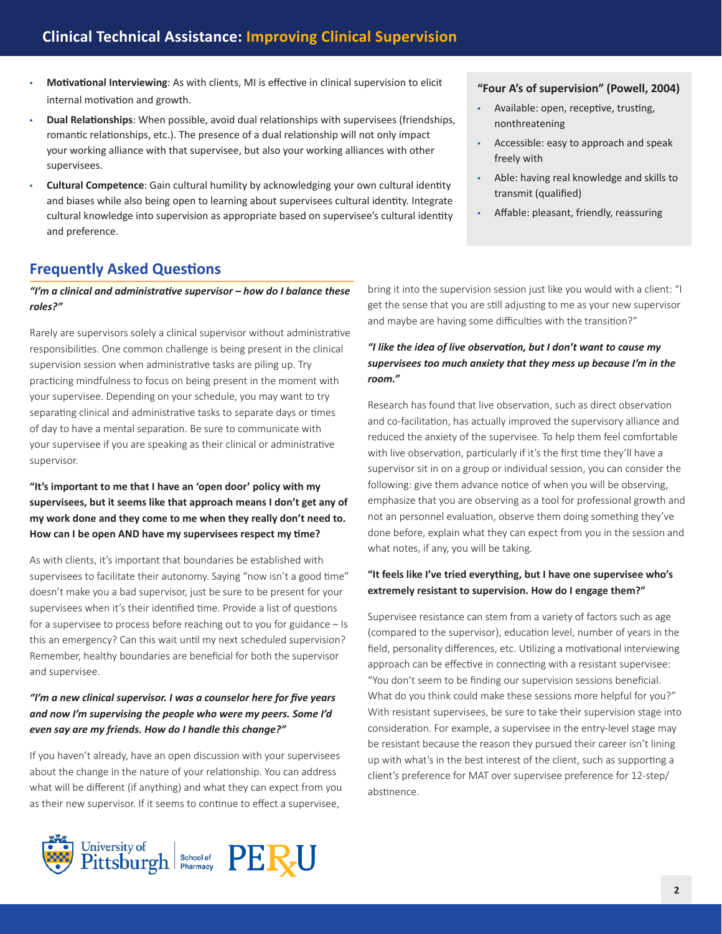- **Motivational Interviewing**: As with clients, MI is effective in clinical supervision to elicit internal motivation and growth.
- **Dual Relationships**: When possible, avoid dual relationships with supervisees (friendships, romantic relationships, etc.). The presence of a dual relationship will not only impact your working alliance with that supervisee, but also your working alliances with other supervisees.
- **Cultural Competence**: Gain cultural humility by acknowledging your own cultural identity and biases while also being open to learning about supervisees cultural identity. Integrate cultural knowledge into supervision as appropriate based on supervisee's cultural identity and preference.

## **Frequently Asked Questions**

*"I'm a clinical and administrative supervisor – how do I balance these roles?"*

Rarely are supervisors solely a clinical supervisor without administrative responsibilities. One common challenge is being present in the clinical supervision session when administrative tasks are piling up. Try practicing mindfulness to focus on being present in the moment with your supervisee. Depending on your schedule, you may want to try separating clinical and administrative tasks to separate days or times of day to have a mental separation. Be sure to communicate with your supervisee if you are speaking as their clinical or administrative supervisor.

#### **"It's important to me that I have an 'open door' policy with my supervisees, but it seems like that approach means I don't get any of my work done and they come to me when they really don't need to. How can I be open AND have my supervisees respect my time?**

As with clients, it's important that boundaries be established with supervisees to facilitate their autonomy. Saying "now isn't a good time" doesn't make you a bad supervisor, just be sure to be present for your supervisees when it's their identified time. Provide a list of questions for a supervisee to process before reaching out to you for guidance – Is this an emergency? Can this wait until my next scheduled supervision? Remember, healthy boundaries are beneficial for both the supervisor and supervisee.

#### *"I'm a new clinical supervisor. I was a counselor here for five years and now I'm supervising the people who were my peers. Some I'd even say are my friends. How do I handle this change?"*

If you haven't already, have an open discussion with your supervisees about the change in the nature of your relationship. You can address what will be different (if anything) and what they can expect from you as their new supervisor. If it seems to continue to effect a supervisee,



bring it into the supervision session just like you would with a client: "I get the sense that you are still adjusting to me as your new supervisor and maybe are having some difficulties with the transition?"

#### *"I like the idea of live observation, but I don't want to cause my supervisees too much anxiety that they mess up because I'm in the room."*

Research has found that live observation, such as direct observation and co-facilitation, has actually improved the supervisory alliance and reduced the anxiety of the supervisee. To help them feel comfortable with live observation, particularly if it's the first time they'll have a supervisor sit in on a group or individual session, you can consider the following: give them advance notice of when you will be observing, emphasize that you are observing as a tool for professional growth and not an personnel evaluation, observe them doing something they've done before, explain what they can expect from you in the session and what notes, if any, you will be taking.

#### **"It feels like I've tried everything, but I have one supervisee who's extremely resistant to supervision. How do I engage them?"**

Supervisee resistance can stem from a variety of factors such as age (compared to the supervisor), education level, number of years in the field, personality differences, etc. Utilizing a motivational interviewing approach can be effective in connecting with a resistant supervisee: "You don't seem to be finding our supervision sessions beneficial. What do you think could make these sessions more helpful for you?" With resistant supervisees, be sure to take their supervision stage into consideration. For example, a supervisee in the entry-level stage may be resistant because the reason they pursued their career isn't lining up with what's in the best interest of the client, such as supporting a client's preference for MAT over supervisee preference for 12-step/ abstinence.

#### **"Four A's of supervision" (Powell, 2004)**

- Available: open, receptive, trusting, nonthreatening
- Accessible: easy to approach and speak freely with
- Able: having real knowledge and skills to transmit (qualified)
- Affable: pleasant, friendly, reassuring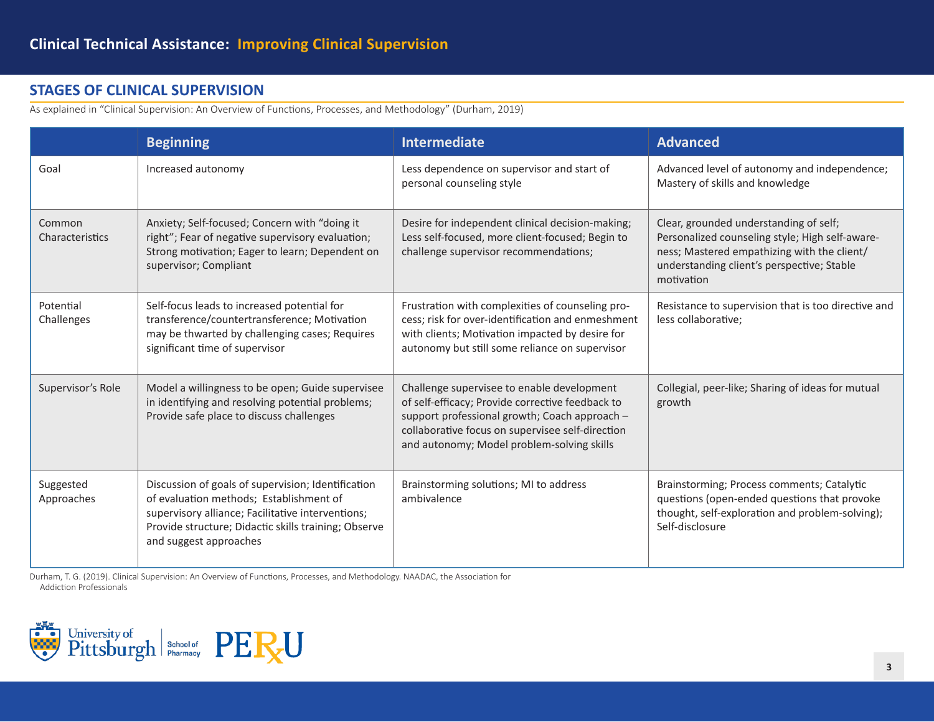## **STAGES OF CLINICAL SUPERVISION**

As explained in "Clinical Supervision: An Overview of Functions, Processes, and Methodology" (Durham, 2019)

|                           | <b>Beginning</b>                                                                                                                                                                                                                     | <b>Intermediate</b>                                                                                                                                                                                                                               | <b>Advanced</b>                                                                                                                                                                                      |
|---------------------------|--------------------------------------------------------------------------------------------------------------------------------------------------------------------------------------------------------------------------------------|---------------------------------------------------------------------------------------------------------------------------------------------------------------------------------------------------------------------------------------------------|------------------------------------------------------------------------------------------------------------------------------------------------------------------------------------------------------|
| Goal                      | Increased autonomy                                                                                                                                                                                                                   | Less dependence on supervisor and start of<br>personal counseling style                                                                                                                                                                           | Advanced level of autonomy and independence;<br>Mastery of skills and knowledge                                                                                                                      |
| Common<br>Characteristics | Anxiety; Self-focused; Concern with "doing it<br>right"; Fear of negative supervisory evaluation;<br>Strong motivation; Eager to learn; Dependent on<br>supervisor; Compliant                                                        | Desire for independent clinical decision-making;<br>Less self-focused, more client-focused; Begin to<br>challenge supervisor recommendations;                                                                                                     | Clear, grounded understanding of self;<br>Personalized counseling style; High self-aware-<br>ness; Mastered empathizing with the client/<br>understanding client's perspective; Stable<br>motivation |
| Potential<br>Challenges   | Self-focus leads to increased potential for<br>transference/countertransference; Motivation<br>may be thwarted by challenging cases; Requires<br>significant time of supervisor                                                      | Frustration with complexities of counseling pro-<br>cess; risk for over-identification and enmeshment<br>with clients; Motivation impacted by desire for<br>autonomy but still some reliance on supervisor                                        | Resistance to supervision that is too directive and<br>less collaborative;                                                                                                                           |
| Supervisor's Role         | Model a willingness to be open; Guide supervisee<br>in identifying and resolving potential problems;<br>Provide safe place to discuss challenges                                                                                     | Challenge supervisee to enable development<br>of self-efficacy; Provide corrective feedback to<br>support professional growth; Coach approach -<br>collaborative focus on supervisee self-direction<br>and autonomy; Model problem-solving skills | Collegial, peer-like; Sharing of ideas for mutual<br>growth                                                                                                                                          |
| Suggested<br>Approaches   | Discussion of goals of supervision; Identification<br>of evaluation methods; Establishment of<br>supervisory alliance; Facilitative interventions;<br>Provide structure; Didactic skills training; Observe<br>and suggest approaches | Brainstorming solutions; MI to address<br>ambivalence                                                                                                                                                                                             | Brainstorming; Process comments; Catalytic<br>questions (open-ended questions that provoke<br>thought, self-exploration and problem-solving);<br>Self-disclosure                                     |

Durham, T. G. (2019). Clinical Supervision: An Overview of Functions, Processes, and Methodology. NAADAC, the Association for Addiction Professionals